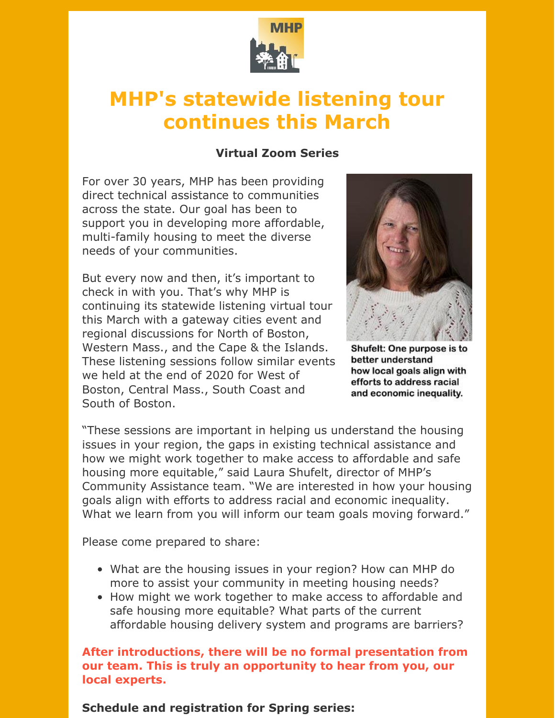

## **MHP's statewide listening tour continues this March**

## **Virtual Zoom Series**

For over 30 years, MHP has been providing direct technical assistance to communities across the state. Our goal has been to support you in developing more affordable, multi-family housing to meet the diverse needs of your communities.

But every now and then, it's important to check in with you. That's why MHP is continuing its statewide listening virtual tour this March with a gateway cities event and regional discussions for North of Boston, Western Mass., and the Cape & the Islands. These listening sessions follow similar events we held at the end of 2020 for West of Boston, Central Mass., South Coast and South of Boston.



Shufelt: One purpose is to better understand how local goals align with efforts to address racial and economic inequality.

"These sessions are important in helping us understand the housing issues in your region, the gaps in existing technical assistance and how we might work together to make access to affordable and safe housing more equitable," said Laura Shufelt, director of MHP's Community Assistance team. "We are interested in how your housing goals align with efforts to address racial and economic inequality. What we learn from you will inform our team goals moving forward."

Please come prepared to share:

- What are the housing issues in your region? How can MHP do more to assist your community in meeting housing needs?
- How might we work together to make access to affordable and safe housing more equitable? What parts of the current affordable housing delivery system and programs are barriers?

**After introductions, there will be no formal presentation from our team. This is truly an opportunity to hear from you, our local experts.**

**Schedule and registration for Spring series:**